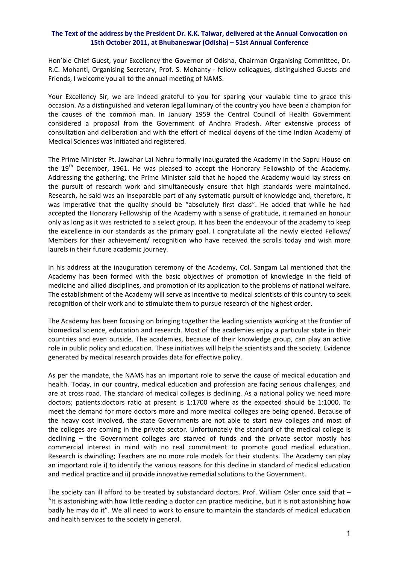## **The Text of the address by the President Dr. K.K. Talwar, delivered at the Annual Convocation on 15th October 2011, at Bhubaneswar (Odisha) – 51st Annual Conference**

Hon'ble Chief Guest, your Excellency the Governor of Odisha, Chairman Organising Committee, Dr. R.C. Mohanti, Organising Secretary, Prof. S. Mohanty - fellow colleagues, distinguished Guests and Friends, I welcome you all to the annual meeting of NAMS.

Your Excellency Sir, we are indeed grateful to you for sparing your vaulable time to grace this occasion. As a distinguished and veteran legal luminary of the country you have been a champion for the causes of the common man. In January 1959 the Central Council of Health Government considered a proposal from the Government of Andhra Pradesh. After extensive process of consultation and deliberation and with the effort of medical doyens of the time Indian Academy of Medical Sciences was initiated and registered.

The Prime Minister Pt. Jawahar Lai Nehru formally inaugurated the Academy in the Sapru House on the 19<sup>th</sup> December, 1961. He was pleased to accept the Honorary Fellowship of the Academy. Addressing the gathering, the Prime Minister said that he hoped the Academy would lay stress on the pursuit of research work and simultaneously ensure that high standards were maintained. Research, he said was an inseparable part of any systematic pursuit of knowledge and, therefore, it was imperative that the quality should be "absolutely first class". He added that while he had accepted the Honorary Fellowship of the Academy with a sense of gratitude, it remained an honour only as long as it was restricted to a select group. It has been the endeavour of the academy to keep the excellence in our standards as the primary goal. I congratulate all the newly elected Fellows/ Members for their achievement/ recognition who have received the scrolls today and wish more laurels in their future academic journey.

In his address at the inauguration ceremony of the Academy, Col. Sangam Lal mentioned that the Academy has been formed with the basic objectives of promotion of knowledge in the field of medicine and allied disciplines, and promotion of its application to the problems of national welfare. The establishment of the Academy will serve as incentive to medical scientists of this country to seek recognition of their work and to stimulate them to pursue research of the highest order.

The Academy has been focusing on bringing together the leading scientists working at the frontier of biomedical science, education and research. Most of the academies enjoy a particular state in their countries and even outside. The academies, because of their knowledge group, can play an active role in public policy and education. These initiatives will help the scientists and the society. Evidence generated by medical research provides data for effective policy.

As per the mandate, the NAMS has an important role to serve the cause of medical education and health. Today, in our country, medical education and profession are facing serious challenges, and are at cross road. The standard of medical colleges is declining. As a national policy we need more doctors; patients:doctors ratio at present is 1:1700 where as the expected should be 1:1000. To meet the demand for more doctors more and more medical colleges are being opened. Because of the heavy cost involved, the state Governments are not able to start new colleges and most of the colleges are coming in the private sector. Unfortunately the standard of the medical college is declining – the Government colleges are starved of funds and the private sector mostly has commercial interest in mind with no real commitment to promote good medical education. Research is dwindling; Teachers are no more role models for their students. The Academy can play an important role i) to identify the various reasons for this decline in standard of medical education and medical practice and ii) provide innovative remedial solutions to the Government.

The society can ill afford to be treated by substandard doctors. Prof. William Osler once said that -"It is astonishing with how little reading a doctor can practice medicine, but it is not astonishing how badly he may do it". We all need to work to ensure to maintain the standards of medical education and health services to the society in general.